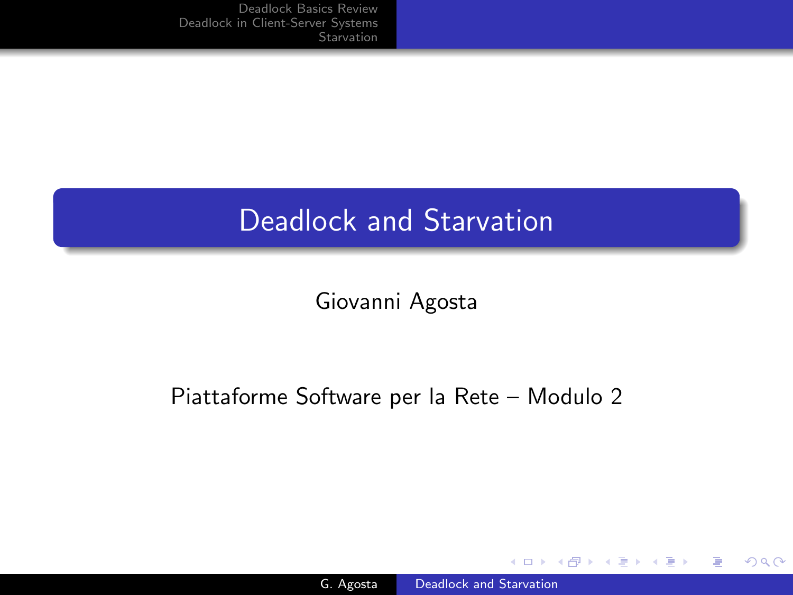# Deadlock and Starvation

Giovanni Agosta

## Piattaforme Software per la Rete – Modulo 2

and in

 $\sim$ 

 $299$ 

<span id="page-0-0"></span>∍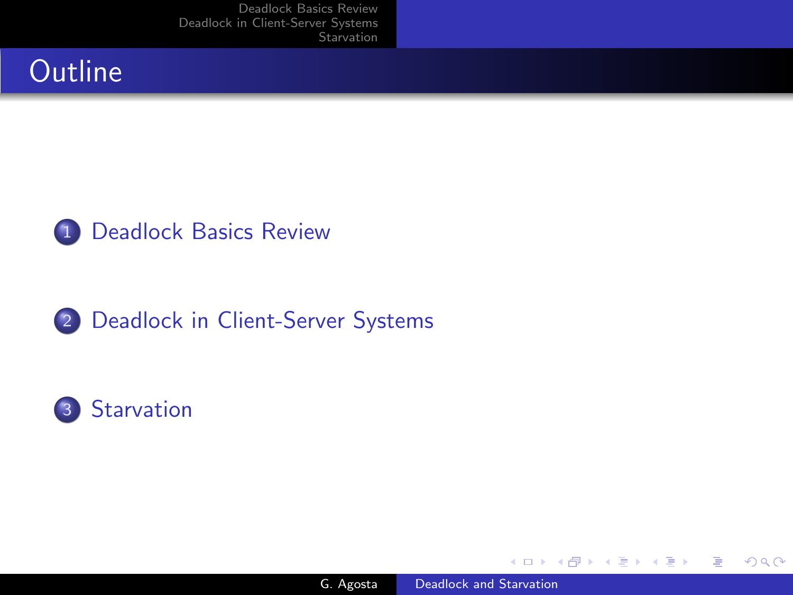# **Outline**







 $\leftarrow$ 

э

 $\sim$ 

 $\sim$ 

Έ

 $299$ 

∍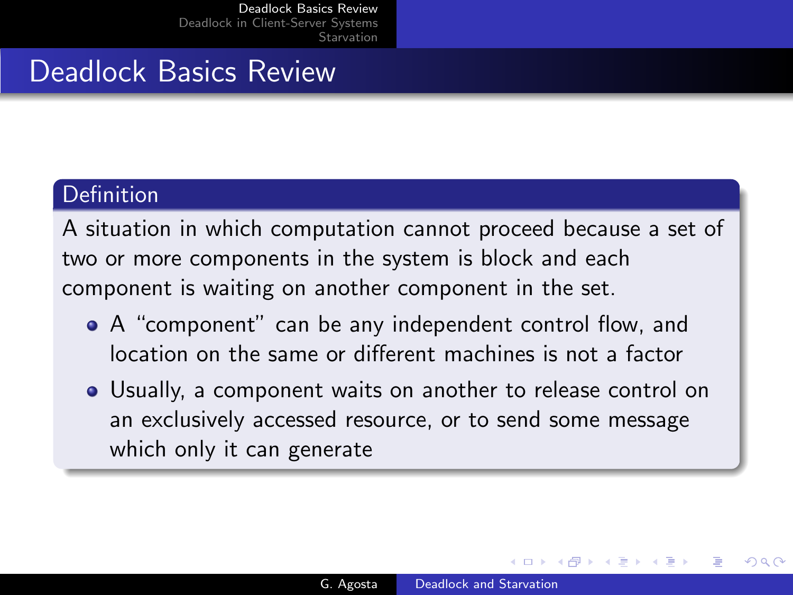## Deadlock Basics Review

#### Definition

A situation in which computation cannot proceed because a set of two or more components in the system is block and each component is waiting on another component in the set.

- A "component" can be any independent control flow, and location on the same or different machines is not a factor
- Usually, a component waits on another to release control on an exclusively accessed resource, or to send some message which only it can generate

<span id="page-2-0"></span> $\Omega$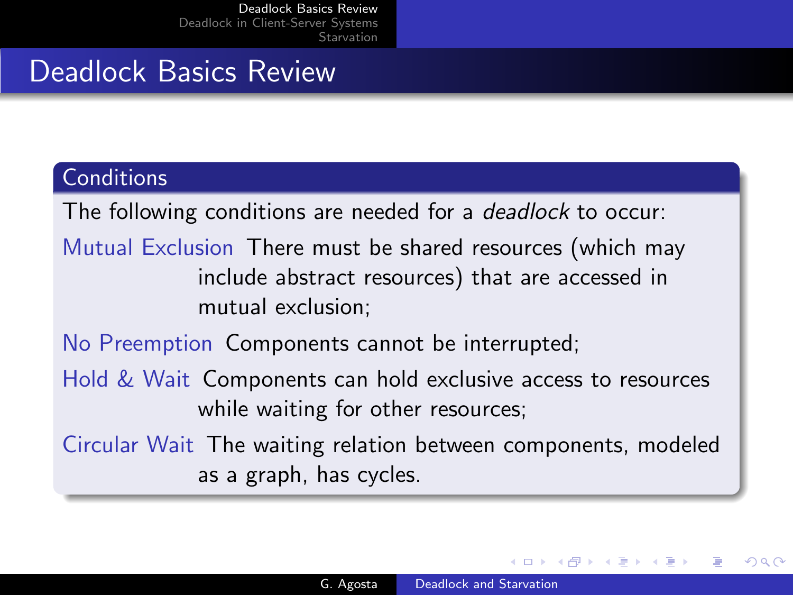# Deadlock Basics Review

### **Conditions**

The following conditions are needed for a *deadlock* to occur:

Mutual Exclusion There must be shared resources (which may include abstract resources) that are accessed in mutual exclusion;

No Preemption Components cannot be interrupted;

- Hold & Wait Components can hold exclusive access to resources while waiting for other resources;
- Circular Wait The waiting relation between components, modeled as a graph, has cycles.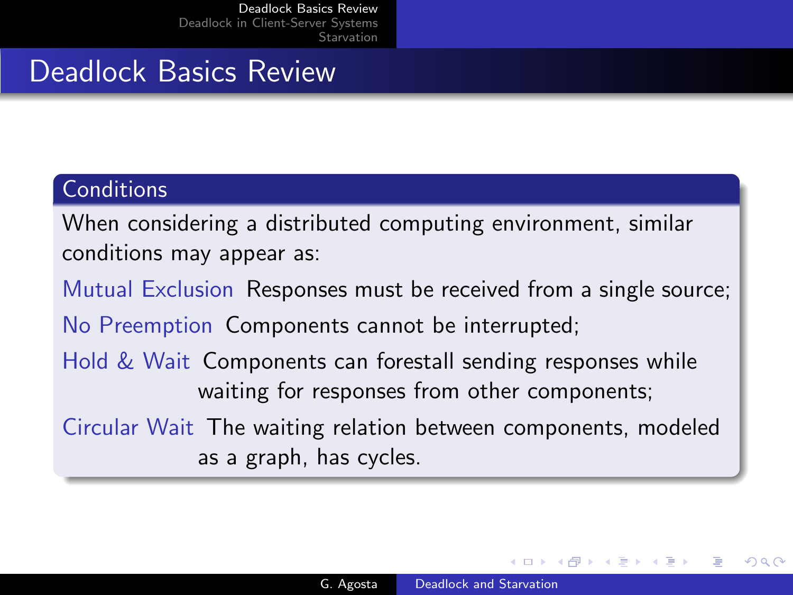# Deadlock Basics Review

### **Conditions**

When considering a distributed computing environment, similar conditions may appear as:

Mutual Exclusion Responses must be received from a single source; No Preemption Components cannot be interrupted;

Hold & Wait Components can forestall sending responses while waiting for responses from other components;

Circular Wait The waiting relation between components, modeled as a graph, has cycles.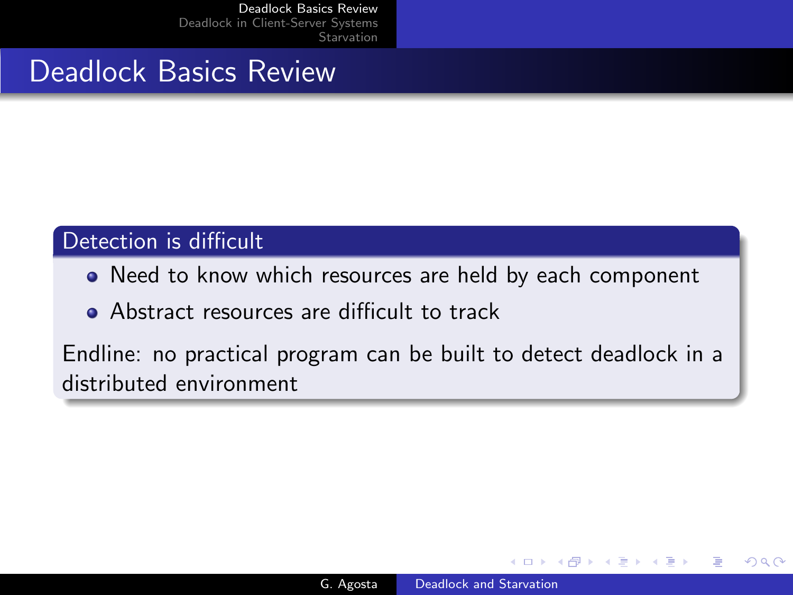## Deadlock Basics Review

### Detection is difficult

- Need to know which resources are held by each component
- Abstract resources are difficult to track

Endline: no practical program can be built to detect deadlock in a distributed environment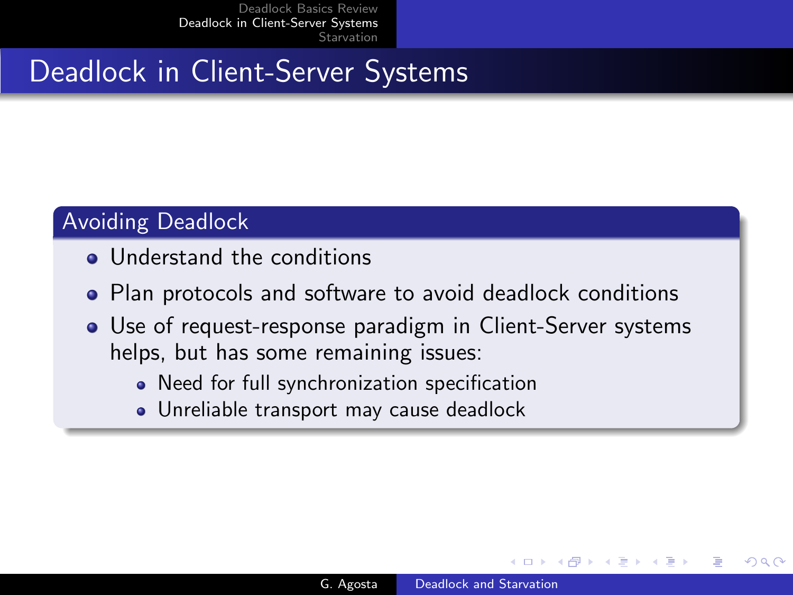# Deadlock in Client-Server Systems

## Avoiding Deadlock

- Understand the conditions
- Plan protocols and software to avoid deadlock conditions
- <span id="page-6-0"></span>Use of request-response paradigm in Client-Server systems helps, but has some remaining issues:
	- Need for full synchronization specification
	- Unreliable transport may cause deadlock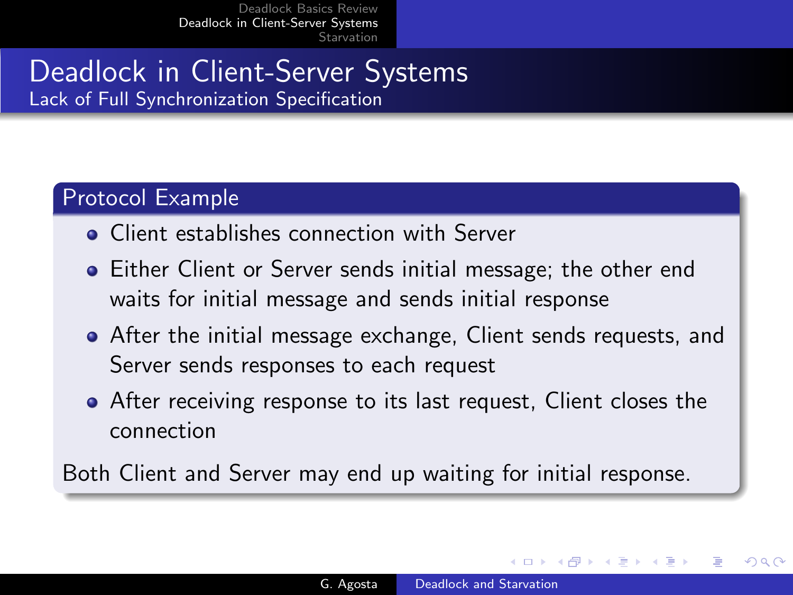## Deadlock in Client-Server Systems Lack of Full Synchronization Specification

### Protocol Example

- Client establishes connection with Server
- Either Client or Server sends initial message; the other end waits for initial message and sends initial response
- After the initial message exchange, Client sends requests, and Server sends responses to each request
- After receiving response to its last request, Client closes the connection

Both Client and Server may end up waiting for initial response.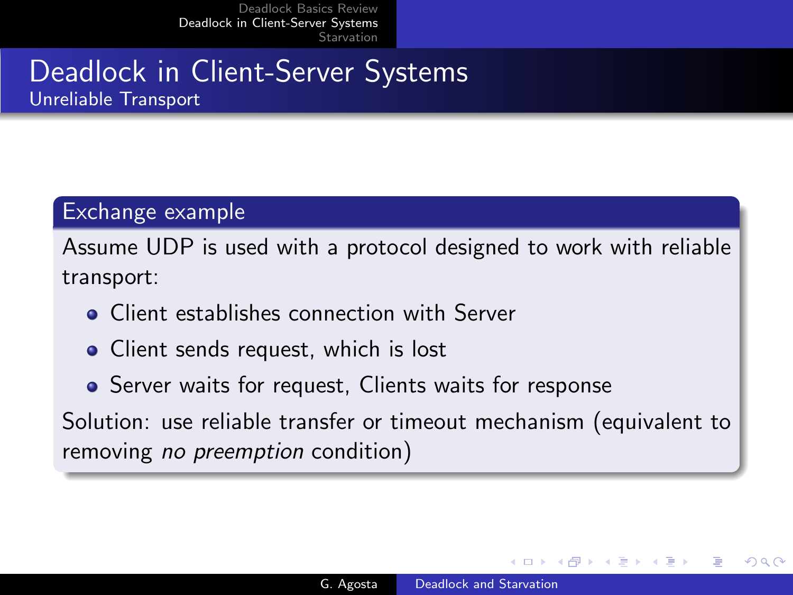## Deadlock in Client-Server Systems Unreliable Transport

#### Exchange example

Assume UDP is used with a protocol designed to work with reliable transport:

- Client establishes connection with Server
- Client sends request, which is lost
- Server waits for request, Clients waits for response

Solution: use reliable transfer or timeout mechanism (equivalent to removing *no preemption* condition)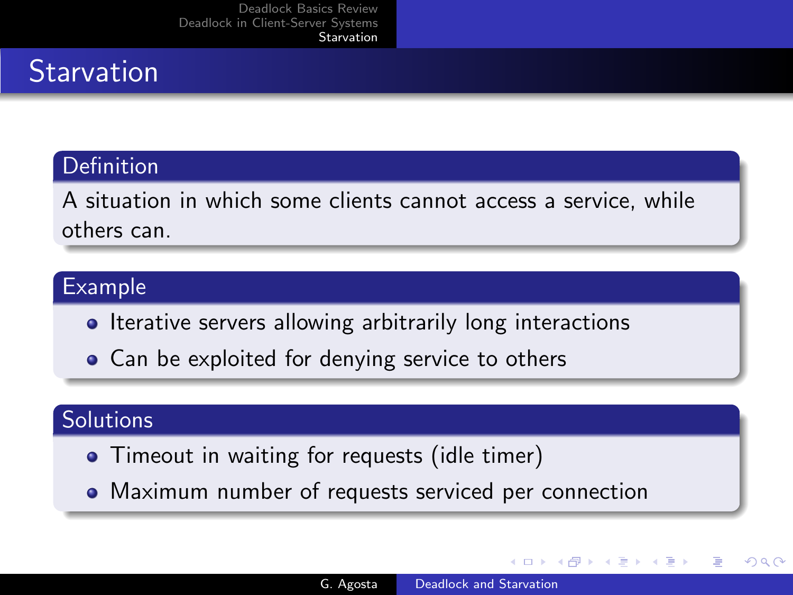# **Starvation**

## **Definition**

A situation in which some clients cannot access a service, while others can.

### Example

- Iterative servers allowing arbitrarily long interactions
- Can be exploited for denying service to others

## **Solutions**

- Timeout in waiting for requests (idle timer)
- Maximum number of requests serviced per connection

<span id="page-9-0"></span>つくへ